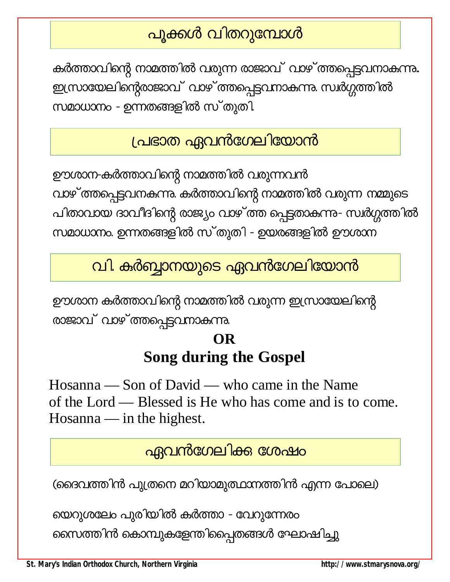# <mark>പൂക്കൾ വിതറുമ്പോൾ</mark>

കർത്താവിന്റെ നാമത്തിൽ വരുന്ന രാജാവ് വാഴ് ത്തപ്പെട്ടവനാകുന്നു.. ഇസ്രായേലിന്റെരാജാവ് വാഴ് ത്തപ്പെട്ടവനാകുന്നു. സ്വർഗ്ഗത്തിൽ സമാധാനം - ഉന്നതങ്ങളിൽ സ്തുതി.

### <u>പ്രഭാത ഏവൻഗേലിയോൻ</u>

ഊശാന-കർത്താവിന്റെ നാമത്തിൽ വരുന്നവൻ വാഴ് ത്തപ്പെട്ടവനകന്നു. കർത്താവിന്റെ നാമത്തിൽ വരുന്ന നമ്മുടെ പിതാവായ ദാവീദിന്റെ രാജ്യം വാഴ് ത്ത പ്പെട്ടതാകുന്നു- സ്വർഗ്ഗത്തിൽ സമാധാനം. ഉന്നതങ്ങളിൽ സ്തുതി - ഉയരങ്ങളിൽ ഊശാന

## വി. കർബ്ബാനയുടെ ഏവൻഗേലിയോൻ

ഊശാന കർത്താവിന്റെ നാമത്തിൽ വരുന്ന ഇസ്രായേലിന്റെ രാജാവ് വാഴ്ത്തപ്പെട്ടവനാകുന്നു.

### **OR Song during the Gospel**

Hosanna — Son of David — who came in the Name of the Lord — Blessed is He who has come and is to come. Hosanna — in the highest.

### <u>ഏവൻഗേലിക്ക ശേഷം</u>

(ദൈവത്തിൻ പുത്രനെ മറിയാമുത്ഥാനത്തിൻ എന്ന പോലെ)

യെറുശലേം പുരിയിൽ കർത്താ - വേറുന്നേരം

സൈത്തിൻ കൊമ്പുകളേന്തിപ്പൈതങ്ങൾ ഘോഷിച്ചു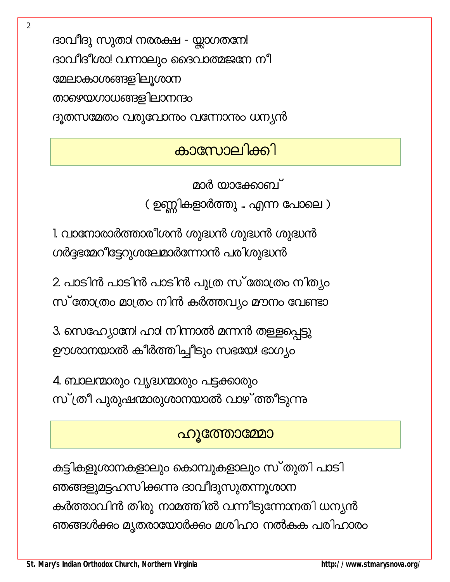ദാവീദു സുതാ! നരരക്ഷ - യ്ലാഗതനേ! ദാവീദീശാ! വന്നാലും ദൈവാത്മജനേ നീ മേലാകാശങ്ങളിലൂശാന താഴെയഗാധങ്ങളിലാനന്ദം ദൂതസമേതം വരുവോനം വന്നോനം ധന്യൻ

### കാസോലിക്കി

മാർ യാക്കോബ് ( ഉണ്ണികളാർത്തു .. എന്ന പോലെ )

1. വാനോരാർത്താരീശൻ ശുദ്ധൻ ശുദ്ധൻ ശുദ്ധൻ ഗർദ്ദഭമേറീട്ടേറുശലേമാർന്നോൻ പരിശുദ്ധൻ

2. പാടിൻ പാടിൻ പാടിൻ പുത്ര സ് തോത്രം നിത്യം സ് തോത്രം മാത്രം നിൻ കർത്തവ്യം മൗനം വേണ്ടാ

3. സെഹ്യോനേ! ഹാ! നിന്നാൽ മന്നൻ തള്ളപ്പെട്ടു ഊശാനയാൽ കീർത്തിച്ചീടും സഭയേ! ഭാഗ്യം

4. ബാലന്മാരും വൃദ്ധന്മാരും പട്ടക്കാരും സ്ത്രീ പുരുഷന്മാരുശാനയാൽ വാഴ്ത്തീടുന്നു

#### ഹൂത്തോമ്മോ

കുട്ടികളൂശാനകളാലും കൊമ്പുകളാലും സ്തുതി പാടി ഞങ്ങളുമട്ടഹസിക്കന്നു ദാവീദുസുതന്നൂശാന കർത്താവിൻ തിരു നാമത്തിൽ വന്നീടുന്നോനതി ധന്യൻ ഞങ്ങൾക്കം മൃതരായോർക്കം മശിഹാ നൽകുക പരിഹാരം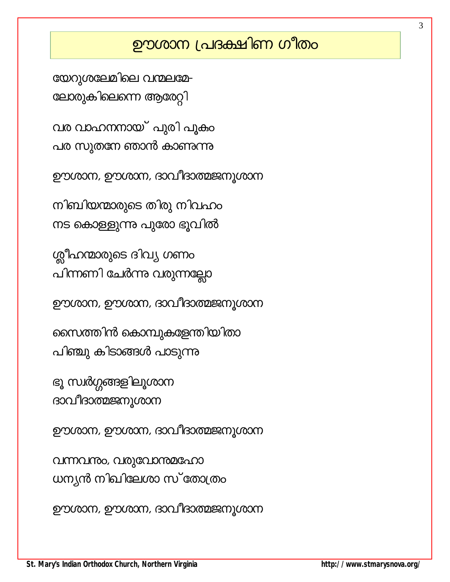### ഊശാന പ്രദക്ഷിണ ഗീതം

3

വന്നവന്നും, വരുവോന്തമഹോ ധന്യൻ നിഖിലേശാ സ് തോത്രം

ഊശാന, ഊശാന, ദാവീദാത്മജനൂശാന

ഊശാന, ഊശാന, ദാവീദാത്മജനൂശാന

ദാവീദാത്മജനൂശാന

ഊശാന, ഊശാന, ദാവീദാത്മജനൂശാന

നിബിയന്മാരുടെ തിരു നിവഹം നട കൊള്ളുന്നു പുരോ ഭൂവിൽ

യേറുശലേമിലെ വന്മലമേ-

ലോരുകിലെന്നെ ആരേറ്റി

വര വാഹനനായ് പുരി പൂകം

പര സുതനേ ഞാൻ കാണുന്നു

ശ്ലീഹന്മാരുടെ ദിവ്യ ഗണം

പിന്നണി ചേർന്നു വരുന്നല്ലോ

ഊശാന, ഊശാന, ദാവീദാത്മജനൂശാന

സൈത്തിൻ കൊമ്പുകളേന്തിയിതാ

പിഞ്ചു കിടാങ്ങൾ പാടുന്നു

ഭൂ സ്ഥർഗ്ഗങ്ങളിലൂശാന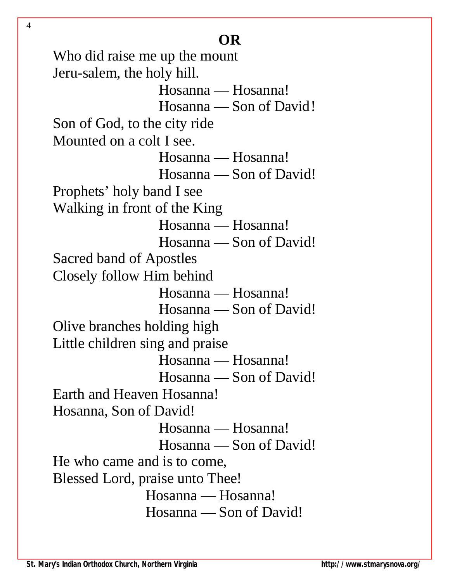Who did raise me up the mount Jeru-salem, the holy hill. Hosanna — Hosanna! Hosanna — Son of David! Son of God, to the city ride Mounted on a colt I see. Hosanna — Hosanna! Hosanna — Son of David! Prophets' holy band I see Walking in front of the King Hosanna — Hosanna! Hosanna — Son of David! Sacred band of Apostles Closely follow Him behind Hosanna — Hosanna! Hosanna — Son of David! Olive branches holding high Little children sing and praise Hosanna — Hosanna! Hosanna — Son of David! Earth and Heaven Hosanna! Hosanna, Son of David! Hosanna — Hosanna! Hosanna — Son of David! He who came and is to come, Blessed Lord, praise unto Thee! Hosanna — Hosanna! Hosanna — Son of David!

4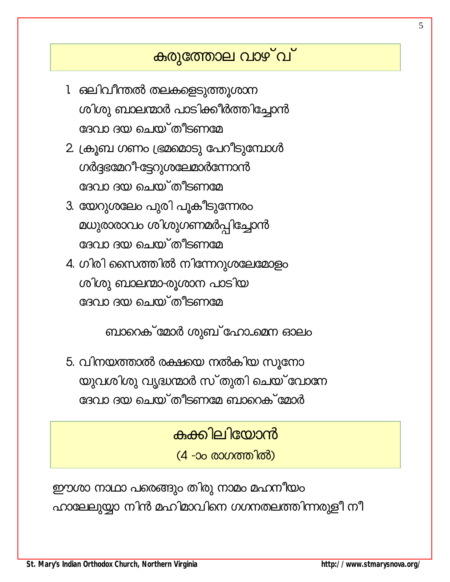### കരുത്തോല വാഴ്`വ്

- 1 ഒലിവീന്തൽ തലകളെടുത്തൂശാന ശിശു ബാലന്മാർ പാടിക്കീർത്തിച്ചോൻ ദേവാ ദയ ചെയ്തീടണമേ
- 2. ക്രുബ ഗണം ഭ്രമമൊടു പേറീടുമ്പോൾ ഗർദ്ദഭമേറ<sup>1</sup>ട്ടേറുശലേമാർന്നോൻ ദേവാ ദയ ചെയ്തീടണമേ
- 3. യേറുശലേം പുരി പൂകീടുന്നേരം മധുരാരാവം ശിശുഗണമർപ്പിച്ചോൻ ദേവാ ദയ ചെയ്തീടണമേ
- 4. ഗിരി സൈത്തിൽ നിന്നേറുശലേമോളം ശിശു ബാലന്മാ-രൂശാന പാടിയ ദേവാ ദയ ചെയ്തീടണമേ

ബാറെക് മോർ ശുബ് ഹോ...മെന ഓലം

5. വിനയത്താൽ രക്ഷയെ നൽകിയ സൂനോ യുവശിശു വൃദ്ധന്മാർ സ്തുതി ചെയ്വോനേ ദേവാ ദയ ചെയ്തീടണമേ ബാറെക് മോർ

കക്കിലിയോൻ

<u>(4 -ാം രാഗത്തിൽ)</u>

ഈശാ നാഥാ പരെങ്ങും തിരു നാമം മഹനീയം ഹാലേലുയ്യാ നിൻ മഹിമാവിനെ ഗഗനതലത്തിന്നരുളീ നീ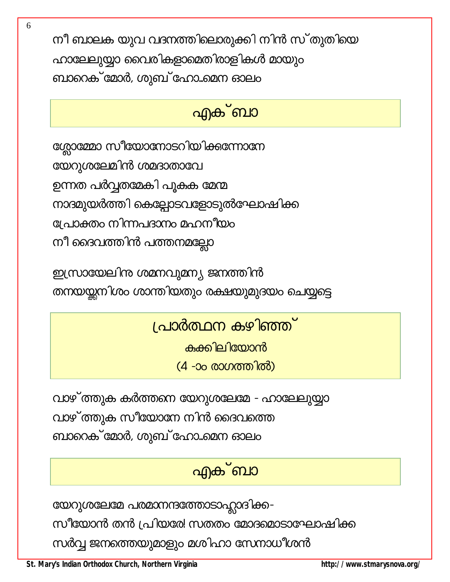നീ ബാലക യുവ വദനത്തിലൊരുക്കി നിൻ സ്തുതിയെ ഹാലേലുയ്യാ വൈരികളാമെതിരാളികൾ മായും ബാറെക് മോർ, ശുബ് ഹോ...മെന ഓലം

### ൶ക്ബാ

ശ്ലോമ്മോ സീയോനോടറിയിക്കുന്നോനേ യേറുശലേമിൻ ശമദാതാവേ ഉന്നത പർവ്വതമേകി പൂകക മേന്മ നാദമുയർത്തി കെല്പോടവളോടുൽഘോഷിക്ക പ്രോക്തം നിന്നപദാനം മഹനീയം നീ ദൈവത്തിൻ പത്തനമല്ലോ

ഇസ്രായേലിനു ശമനവുമന്യ ജനത്തിൻ തനയയ്ക്കനിശം ശാന്തിയതും രക്ഷയുമുദയം ചെയ്യട്ടെ

<u>പ്രാർത്ഥന കഴിഞ്ഞ്</u>

കക്കിലിയോൻ

(4 -ാം രാഗത്തിൽ)

വാഴ് ത്തുക കർത്തനെ യേറുശലേമേ - ഹാലേലുയ്യാ വാഴ് ത്തുക സീയോനേ നിൻ ദൈവത്തെ ബാറെക് മോർ, ശുബ് ഹോ..മെന ഓലം

# <u>എക് ബാ</u>

യേറുശലേമേ പരമാനന്ദത്തോടാഹ്ലാദിക്ക-

സീയോൻ തൻ പ്രിയരേ! സതതം മോദമൊടാഘോഷിക്ക

സർവ്വ ജനത്തെയുമാളും മശിഹാ സേനാധീശൻ

St. Mary's Indian Orthodox Church, Northern Virginia

http://www.stmarysnova.org/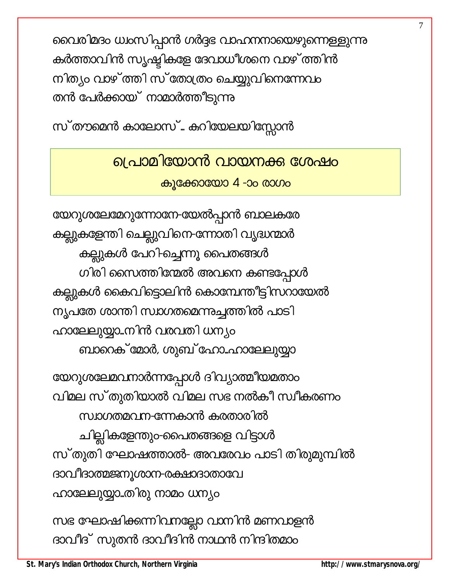വൈരിമദം ധ്വംസിപ്പാൻ ഗർദ്ദഭ വാഹനനായെഴുന്നെള്ളുന്നു കർത്താവിൻ സൃഷ്ടികളേ ദേവാധീശനെ വാഴ് ത്തിൻ നിത്യം വാഴ്ത്തി സ്തോത്രം ചെയ്യുവിനെന്നേവം തൻ പേർക്കായ് നാമാർത്തീടുന്നു

സ്തൗമെൻ കാലോസ്… കറിയേലയിസ്സോൻ

<u>പ്രൊമിയോൻ വായനക്ക ശേഷം</u> കൂക്കോയോ 4 -ാം രാഗം

യേറുശലേമേറുന്നോനേ-യേൽപ്പാൻ ബാലകരേ കല്ലുകളേന്തി ചെല്ലുവിനെ-ന്നോതി വൃദ്ധന്മാർ കല്ലുകൾ പേറി-ച്ചെന്നൂ പൈതങ്ങൾ ഗിരി സൈത്തിന്മേൽ അവനെ കണ്ടപ്പോൾ കല്ലുകൾ കൈവിട്ടൊലിൻ കൊമ്പേന്തീട്ടിസറായേൽ ന്യപതേ ശാന്തി സ്ഥഗതമെന്നുച്ചത്തിൽ പാടി ഹാലേലുയ്യാ..നിൻ വരവതി ധന്യം ബാറെക് മോർ, ശുബ് ഹോ..ഹാലേലുയ്യാ

യേറുശലേമവനാർന്നപ്പോൾ ദിവ്യാത്മീയമതാം വിമല സ്തുതിയാൽ വിമല സഭ നൽകീ സ്വീകരണം സ്വാഗതമവന-ന്നേകാൻ കരതാരിൽ ചില്ലികളേന്തും-പൈതങ്ങളെ വിട്ടാൾ സ്തുതി ഘോഷത്താൽ- അവരേവം പാടി തിരുമുമ്പിൽ ദാവീദാത്മജനൂശാന-രക്ഷാദാതാവേ ഹാലേലുയ്യാ..തിരു നാമം ധന്യം

സഭ ഘോഷിക്കന്നിവനല്ലോ വാനിൻ മണവാളൻ ദാവീദ് സുതൻ ദാവീദിൻ നാഥൻ നിന്ദിതമാം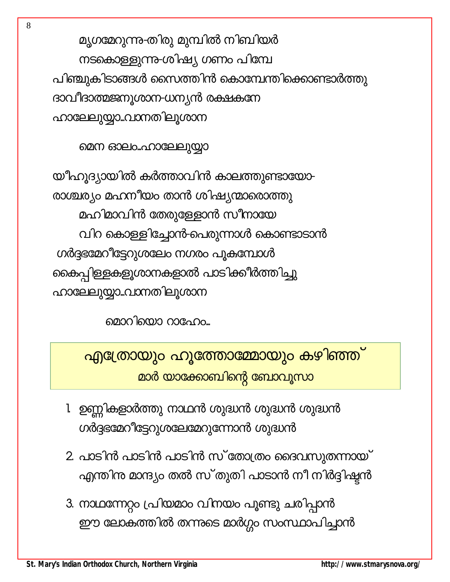മൃഗമേറുന്നു-തിരു മുമ്പിൽ നിബിയർ നടകൊള്ളുന്ന-ശിഷ്യ ഗണം പിമ്പേ പിഞ്ചുകിടാങ്ങൾ സൈത്തിൻ കൊമ്പേന്തിക്കൊണ്ടാർത്തു ദാവീദാത്മജനൂശാന-ധന്യൻ രക്ഷകനേ ഹാലേലുയ്യാ..പാനതിലൂശാന

മെന ഓലം..ഹാലേലുയ്യാ

യീഹുദ്യായിൽ കർത്താവിൻ കാലത്തുണ്ടായോ-രാശ്ചര്യം മഹനീയം താൻ ശിഷ്യന്മാരൊത്തു മഹിമാവിൻ തേരുള്ളോൻ സീനായേ വിറ കൊളളിച്ചോൻ-പെരുന്നാൾ കൊണ്ടാടാൻ ഗർദ്ദഭമേറീട്ടേറുശലേം നഗരം പൂകമ്പോൾ കൈപ്പിള്ളകളൂശാനകളാൽ പാടിക്കീർത്തിച്ചു ഹാലേലുയ്യാ..പാനതിലൂശാന

മൊറിയൊ റാഫോം...

എത്രോയും ഹൂത്തോമ്മോയും കഴിഞ്ഞ് മാർ യാക്കോബിന്റെ ബോവൂസാ

- 1 ഉണ്ണികളാർത്തു നാഥൻ ശുദ്ധൻ ശുദ്ധൻ ശുദ്ധൻ ഗർദ്ദഭമേറിട്ടേറുശലേമേറുന്നോൻ ശുദ്ധൻ
- 2. പാടിൻ പാടിൻ പാടിൻ സ്തോത്രം ദൈവസുതന്നായ് എന്തിനു മാന്ദ്യം തൽ സ്തുതി പാടാൻ നീ നിർദ്ദിഷ്ടൻ
- 3. നാഥന്നേറ്റം പ്രിയമാം വിനയം പൂണ്ടു ചരിപ്പാൻ ഈ ലോകത്തിൽ തന്നുടെ മാർഗ്ഗം സംസ്ഥാപിച്ചാൻ

8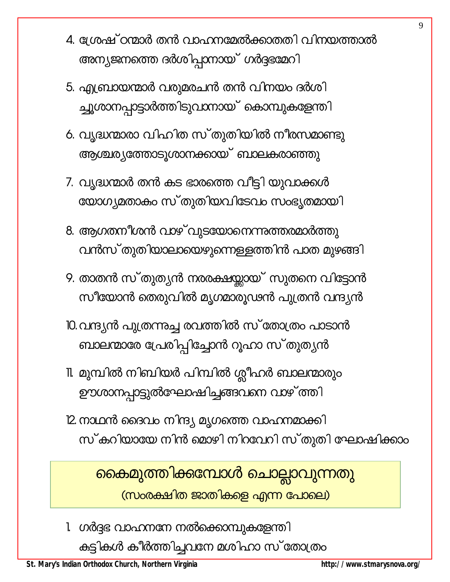- 4. ശ്രേഷ് ഠന്മാർ തൻ വാഹനമേൽക്കാതതി വിനയത്താൽ അന്യജനത്തെ ദർശിപ്പാനായ് ഗർദ്ദഭമേറി
- 5. എബ്രായന്മാർ വരുമരചൻ തൻ വിനയം ദർശി ച്ചൂശാനപ്പാട്ടാർത്തിടുവാനായ് കൊമ്പുകളേന്തി
- 6. വൃദ്ധന്മാരാ വിഹിത സ്തുതിയിൽ നീരസമാണ്ടു ആശ്ചര്യത്തോടൂശാനക്കായ് ബാലകരാഞ്ഞു
- 7. വൃദ്ധന്മാർ തൻ കട ഭാരത്തെ വീട്ടി യുവാക്കൾ യോഗ്യമതാകും സ്തുതിയവിടേവം സംഭൃതമായി
- 8. ആഗതനീശൻ വാഴ് വുടയോനെന്നുത്തരമാർത്തു വൻസ് തുതിയാലായെഴുന്നെള്ളത്തിൻ പാത മുഴങ്ങി
- 9. താതൻ സ്തുത്യൻ നരരക്ഷയ്യായ് സുതനെ വിട്ടോൻ സീയോൻ തെരുവിൽ മൃഗമാരൂഢൻ പുത്രൻ വന്ദ്യൻ
- 10. വന്ദ്യൻ പുത്രന്നുച്ച രവത്തിൽ സ് തോത്രം പാടാൻ ബാലന്മാരേ പ്രേരിപ്പിച്ചോൻ റൂഹാ സ്തുത്യൻ
- 11. മുമ്പിൽ നിബിയർ പിമ്പിൽ ശ്ലീഹർ ബാലന്മാരും ഊശാനപ്പാട്ടുൽഘോഷിച്ചങ്ങവനെ വാഴ് ത്തി
- 12 നാഥൻ ദൈവം നിന്ദ്യ മൃഗത്തെ വാഹനമാക്കി സ്കറിയായേ നിൻ മൊഴി നിറവേറി സ്തുതി ഘോഷിക്കാം

കൈമുത്തിക്കമ്പോൾ ചൊല്ലാവുന്നതു (സാരക്ഷിത ജാതികളെ എന്ന പോലെ)

1 ഗർദ്ദഭ വാഹനനേ നൽക്കൊമ്പുകളേന്തി കുട്ടികൾ കീർത്തിച്ചവനേ മശിഹാ സ് തോത്രം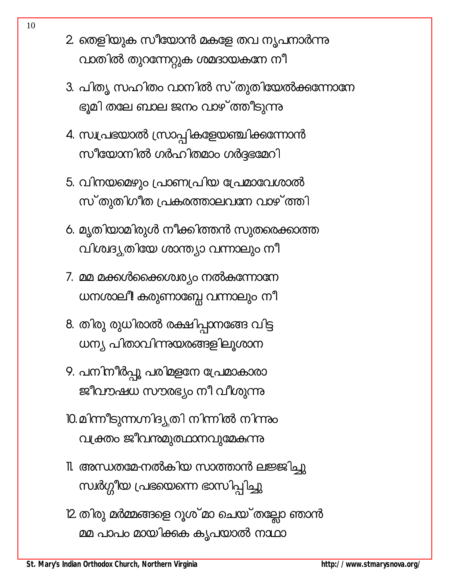- 2. തെളിയുക സീയോൻ മകളേ തവ നൃപനാർന്നു വാതിൽ തുറന്നേറ്റുക ശമദായകനേ നീ
- 3. പിത്യ സഹിതം വാനിൽ സ്തുതിയേൽക്കുന്നോനേ ഭൂമി തലേ ബാല ജനം വാഴ് ത്തീടുന്നു
- 4. സ്വപ്രഭയാൽ സ്രാപ്പികളേയഞ്ചിക്കന്നോൻ സീയോനിൽ ഗർഹിതമാം ഗർദ്ദഭമേറി
- 5. വിനയമെഴും പ്രാണപ്രിയ പ്രേമാവേശാൽ സ്തുതിഗീത പ്രകരത്താലവനേ വാഴ്ത്തി
- 6. മൃതിയാമിരുൾ നീക്കിത്തൻ സുതരെക്കാത്ത വിശ്വദ്യതിയേ ശാന്ത്യാ വന്നാലും നീ
- 7. മമ മക്കൾക്കൈശ്വര്യം നൽകുന്നോനേ ധനശാലീ കരുണാബ്പേ വന്നാലും നീ
- 8. തിരു രുധിരാൽ രക്ഷിപ്പാനങ്ങേ വിട്ട ധന്യ പിതാവിന്നുയരങ്ങളിലൂശാന
- 9. പനിനീർപ്പൂ പരിമളനേ പ്രേമാകാരാ ജീവൗഷധ സൗരഭ്യം നീ വീശുന്നു
- 10. മിന്നീടുന്നഗ്നിദ്യൂതി നിന്നിൽ നിന്നും വക്ത്രം ജീവന്തമുത്ഥാനവുമേകുന്നു
- 11 അന്ധതമേ-നൽകിയ സാത്താൻ ലജ്ജിച്ചു സ്ഥർഗ്ഗീയ പ്രഭയെന്നെ ഭാസിപ്പിച്ചു
- 12 തിരു മർമ്മങ്ങളെ റൂശ്മാ ചെയ്തല്ലോ ഞാൻ മമ പാപം മായിക്കുക കൃപയാൽ നാഥാ

10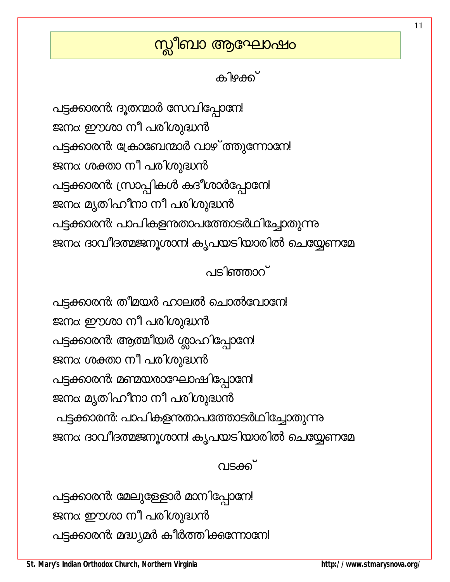### സ്<mark>സ</mark>ീബാ ആഘോഷം

കിഴക്ക്

പട്ടക്കാരൻ: ദൂതന്മാർ സേവിപ്പോനേ! ജനം: ഈശാ നീ പരിശുദ്ധൻ പട്ടക്കാരൻ: ക്രോബേന്മാർ വാഴ് ത്തുന്നോനേ! ജനം: ശക്താ നീ പരിശുദ്ധൻ പട്ടക്കാരൻ: സ്രാപ്പികൾ കദീശാർപ്പോനേ! ജനം: മൃതിഹീനാ നീ പരിശുദ്ധൻ പട്ടക്കാരൻ: പാപികളന്താപത്തോടർഥിച്ചോതുന്നു ജനം: ദാവീദത്മജനൂശാന! കൃപയടിയാരിൽ ചെയ്യേണമേ

 $\circ$  Is kompace

പട്ടക്കാരൻ: തീമയർ ഹാലൽ ചൊൽവോനേ! ജനം: ഈശാ നീ പരിശുദ്ധൻ പട്ടക്കാരൻ: ആത്മീയർ ശ്ലാഹിപ്പോനേ! ജനം: ശക്താ നീ പരിശുദ്ധൻ പട്ടക്കാരൻ: മണ്മയരാഘോഷിപ്പോനേ! ജനം: മൃതിഹീനാ നീ പരിശുദ്ധൻ പട്ടക്കാരൻ: പാപികളന്താപത്തോടർഥിച്ചോതുന്നു ജനം: ദാവീദത്മജനൂശാന! കൃപയടിയാരിൽ ചെയ്യേണമേ

വടക്ക്

പട്ടക്കാരൻ: മേലുള്ളോർ മാനിപ്പോനേ! ജനം: ഈശാ നീ പരിശുദ്ധൻ പട്ടക്കാരൻ: മദ്ധ്യമർ കീർത്തിക്കുന്നോനേ!